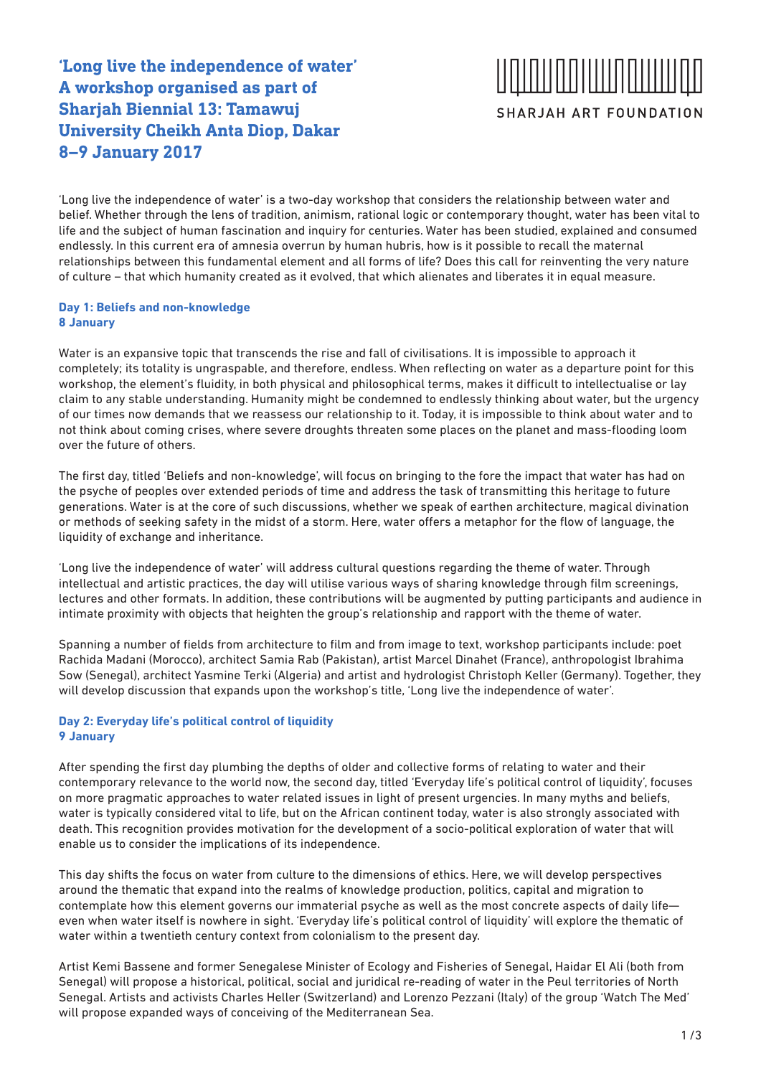### **'Long live the independence of water' A workshop organised as part of Sharjah Biennial 13: Tamawuj University Cheikh Anta Diop, Dakar 8–9 January 2017**

# SHARJAH ART FOUNDATION

'Long live the independence of water' is a two-day workshop that considers the relationship between water and belief. Whether through the lens of tradition, animism, rational logic or contemporary thought, water has been vital to life and the subject of human fascination and inquiry for centuries. Water has been studied, explained and consumed endlessly. In this current era of amnesia overrun by human hubris, how is it possible to recall the maternal relationships between this fundamental element and all forms of life? Does this call for reinventing the very nature of culture – that which humanity created as it evolved, that which alienates and liberates it in equal measure.

#### **Day 1: Beliefs and non-knowledge 8 January**

Water is an expansive topic that transcends the rise and fall of civilisations. It is impossible to approach it completely; its totality is ungraspable, and therefore, endless. When reflecting on water as a departure point for this workshop, the element's fluidity, in both physical and philosophical terms, makes it difficult to intellectualise or lay claim to any stable understanding. Humanity might be condemned to endlessly thinking about water, but the urgency of our times now demands that we reassess our relationship to it. Today, it is impossible to think about water and to not think about coming crises, where severe droughts threaten some places on the planet and mass-flooding loom over the future of others.

The first day, titled 'Beliefs and non-knowledge', will focus on bringing to the fore the impact that water has had on the psyche of peoples over extended periods of time and address the task of transmitting this heritage to future generations. Water is at the core of such discussions, whether we speak of earthen architecture, magical divination or methods of seeking safety in the midst of a storm. Here, water offers a metaphor for the flow of language, the liquidity of exchange and inheritance.

'Long live the independence of water' will address cultural questions regarding the theme of water. Through intellectual and artistic practices, the day will utilise various ways of sharing knowledge through film screenings, lectures and other formats. In addition, these contributions will be augmented by putting participants and audience in intimate proximity with objects that heighten the group's relationship and rapport with the theme of water.

Spanning a number of fields from architecture to film and from image to text, workshop participants include: poet Rachida Madani (Morocco), architect Samia Rab (Pakistan), artist Marcel Dinahet (France), anthropologist Ibrahima Sow (Senegal), architect Yasmine Terki (Algeria) and artist and hydrologist Christoph Keller (Germany). Together, they will develop discussion that expands upon the workshop's title, 'Long live the independence of water'.

#### **Day 2: Everyday life's political control of liquidity 9 January**

After spending the first day plumbing the depths of older and collective forms of relating to water and their contemporary relevance to the world now, the second day, titled 'Everyday life's political control of liquidity', focuses on more pragmatic approaches to water related issues in light of present urgencies. In many myths and beliefs, water is typically considered vital to life, but on the African continent today, water is also strongly associated with death. This recognition provides motivation for the development of a socio-political exploration of water that will enable us to consider the implications of its independence.

This day shifts the focus on water from culture to the dimensions of ethics. Here, we will develop perspectives around the thematic that expand into the realms of knowledge production, politics, capital and migration to contemplate how this element governs our immaterial psyche as well as the most concrete aspects of daily life even when water itself is nowhere in sight. 'Everyday life's political control of liquidity' will explore the thematic of water within a twentieth century context from colonialism to the present day.

Artist Kemi Bassene and former Senegalese Minister of Ecology and Fisheries of Senegal, Haidar El Ali (both from Senegal) will propose a historical, political, social and juridical re-reading of water in the Peul territories of North Senegal. Artists and activists Charles Heller (Switzerland) and Lorenzo Pezzani (Italy) of the group 'Watch The Med' will propose expanded ways of conceiving of the Mediterranean Sea.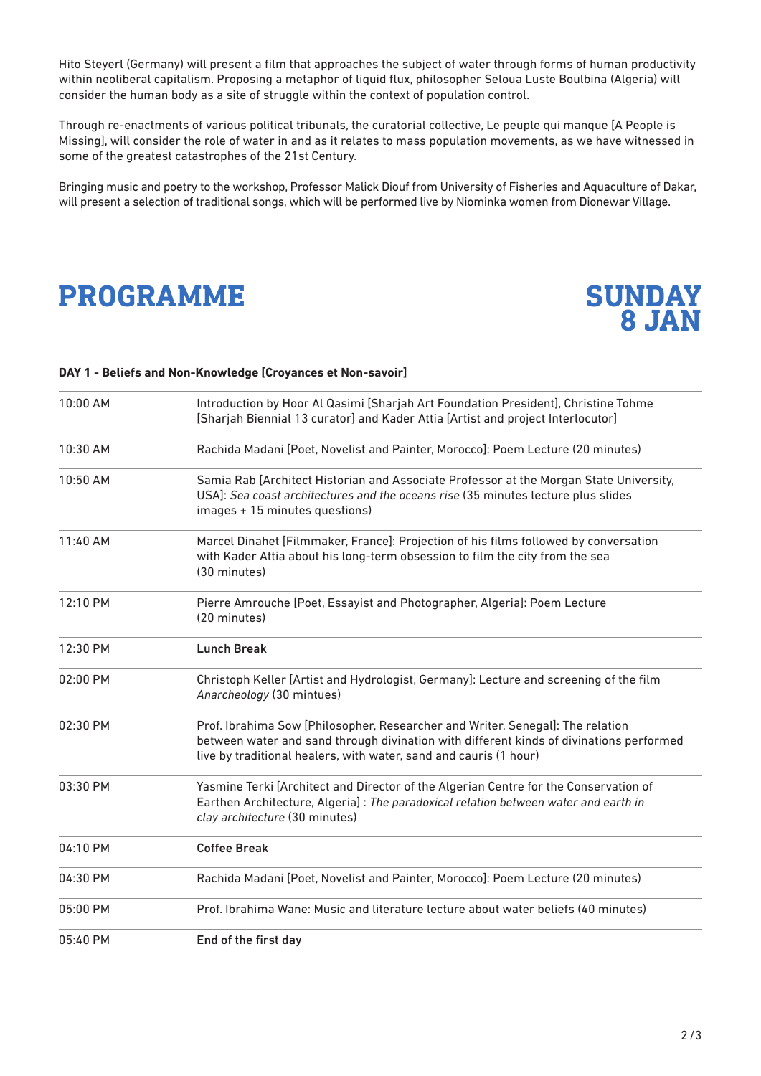Hito Steyerl (Germany) will present a film that approaches the subject of water through forms of human productivity within neoliberal capitalism. Proposing a metaphor of liquid flux, philosopher Seloua Luste Boulbina (Algeria) will consider the human body as a site of struggle within the context of population control.

Through re-enactments of various political tribunals, the curatorial collective, Le peuple qui manque [A People is Missing], will consider the role of water in and as it relates to mass population movements, as we have witnessed in some of the greatest catastrophes of the 21st Century.

Bringing music and poetry to the workshop, Professor Malick Diouf from University of Fisheries and Aquaculture of Dakar, will present a selection of traditional songs, which will be performed live by Niominka women from Dionewar Village.

## **PROGRAMME**



#### **DAY 1 - Beliefs and Non-Knowledge [Croyances et Non-savoir]**

| 10:00 AM | Introduction by Hoor Al Qasimi [Sharjah Art Foundation President], Christine Tohme<br>[Sharjah Biennial 13 curator] and Kader Attia [Artist and project Interlocutor]                                                                          |
|----------|------------------------------------------------------------------------------------------------------------------------------------------------------------------------------------------------------------------------------------------------|
| 10:30 AM | Rachida Madani [Poet, Novelist and Painter, Morocco]: Poem Lecture (20 minutes)                                                                                                                                                                |
| 10:50 AM | Samia Rab [Architect Historian and Associate Professor at the Morgan State University,<br>USA]: Sea coast architectures and the oceans rise (35 minutes lecture plus slides<br>images + 15 minutes questions)                                  |
| 11:40 AM | Marcel Dinahet [Filmmaker, France]: Projection of his films followed by conversation<br>with Kader Attia about his long-term obsession to film the city from the sea<br>(30 minutes)                                                           |
| 12:10 PM | Pierre Amrouche [Poet, Essayist and Photographer, Algeria]: Poem Lecture<br>(20 minutes)                                                                                                                                                       |
| 12:30 PM | <b>Lunch Break</b>                                                                                                                                                                                                                             |
| 02:00 PM | Christoph Keller [Artist and Hydrologist, Germany]: Lecture and screening of the film<br>Anarcheology (30 mintues)                                                                                                                             |
| 02:30 PM | Prof. Ibrahima Sow [Philosopher, Researcher and Writer, Senegal]: The relation<br>between water and sand through divination with different kinds of divinations performed<br>live by traditional healers, with water, sand and cauris (1 hour) |
| 03:30 PM | Yasmine Terki [Architect and Director of the Algerian Centre for the Conservation of<br>Earthen Architecture, Algeria]: The paradoxical relation between water and earth in<br>clay architecture (30 minutes)                                  |
| 04:10 PM | <b>Coffee Break</b>                                                                                                                                                                                                                            |
| 04:30 PM | Rachida Madani [Poet, Novelist and Painter, Morocco]: Poem Lecture (20 minutes)                                                                                                                                                                |
| 05:00 PM | Prof. Ibrahima Wane: Music and literature lecture about water beliefs (40 minutes)                                                                                                                                                             |
| 05:40 PM | End of the first day                                                                                                                                                                                                                           |